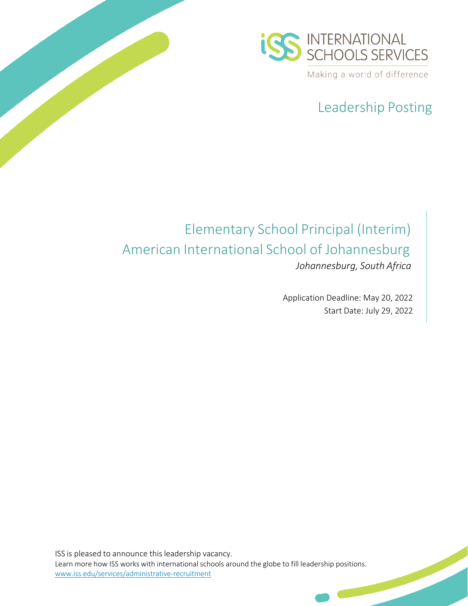

# Leadership Posting

# Elementary School Principal (Interim) American International School of Johannesburg *Johannesburg, South Africa*

Application Deadline: May 20, 2022 Start Date: July 29, 2022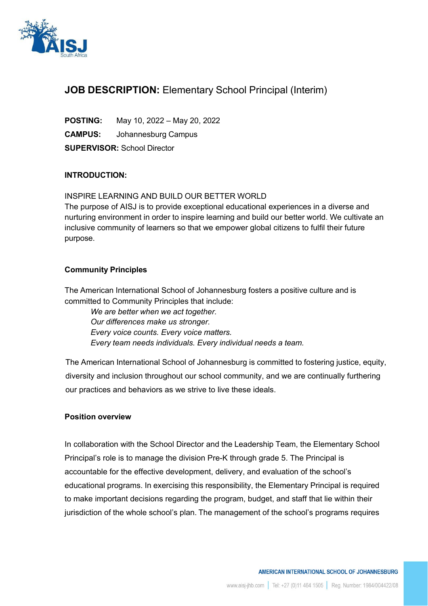

### **JOB DESCRIPTION:** Elementary School Principal (Interim)

**POSTING:** May 10, 2022 – May 20, 2022 **CAMPUS:** Johannesburg Campus **SUPERVISOR:** School Director

#### **INTRODUCTION:**

#### INSPIRE LEARNING AND BUILD OUR BETTER WORLD

The purpose of AISJ is to provide exceptional educational experiences in a diverse and nurturing environment in order to inspire learning and build our better world. We cultivate an inclusive community of learners so that we empower global citizens to fulfil their future purpose.

#### **Community Principles**

The American International School of Johannesburg fosters a positive culture and is committed to Community Principles that include:

*We are better when we act together. Our differences make us stronger. Every voice counts. Every voice matters. Every team needs individuals. Every individual needs a team.*

The American International School of Johannesburg is committed to fostering justice, equity, diversity and inclusion throughout our school community, and we are continually furthering our practices and behaviors as we strive to live these ideals.

#### **Position overview**

In collaboration with the School Director and the Leadership Team, the Elementary School Principal's role is to manage the division Pre-K through grade 5. The Principal is accountable for the effective development, delivery, and evaluation of the school's educational programs. In exercising this responsibility, the Elementary Principal is required to make important decisions regarding the program, budget, and staff that lie within their jurisdiction of the whole school's plan. The management of the school's programs requires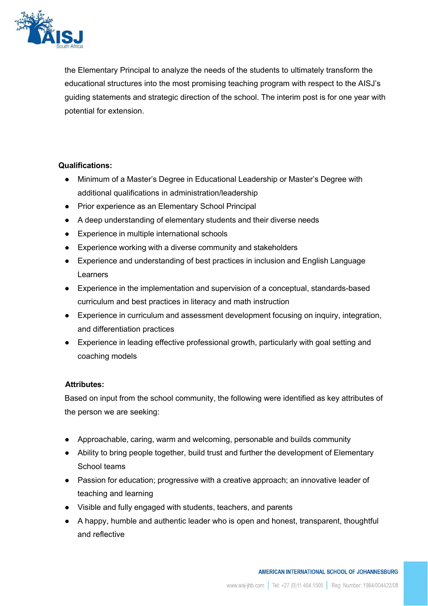

the Elementary Principal to analyze the needs of the students to ultimately transform the educational structures into the most promising teaching program with respect to the AISJ's guiding statements and strategic direction of the school. The interim post is for one year with potential for extension.

#### **Qualifications:**

- Minimum of a Master's Degree in Educational Leadership or Master's Degree with additional qualifications in administration/leadership
- Prior experience as an Elementary School Principal
- A deep understanding of elementary students and their diverse needs
- Experience in multiple international schools
- Experience working with a diverse community and stakeholders
- Experience and understanding of best practices in inclusion and English Language Learners
- Experience in the implementation and supervision of a conceptual, standards-based curriculum and best practices in literacy and math instruction
- Experience in curriculum and assessment development focusing on inquiry, integration, and differentiation practices
- Experience in leading effective professional growth, particularly with goal setting and coaching models

#### **Attributes:**

Based on input from the school community, the following were identified as key attributes of the person we are seeking:

- Approachable, caring, warm and welcoming, personable and builds community
- Ability to bring people together, build trust and further the development of Elementary School teams
- Passion for education; progressive with a creative approach; an innovative leader of teaching and learning
- Visible and fully engaged with students, teachers, and parents
- A happy, humble and authentic leader who is open and honest, transparent, thoughtful and reflective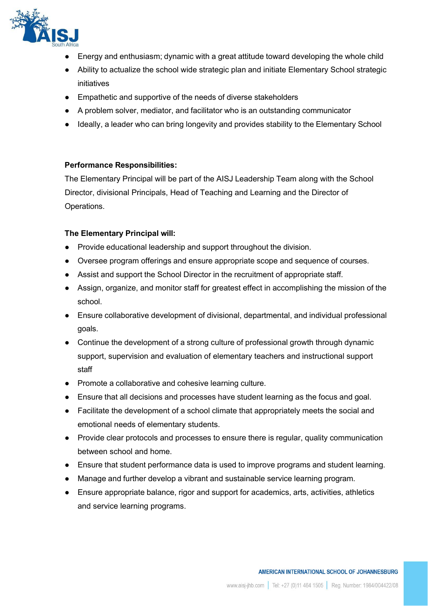

- Energy and enthusiasm; dynamic with a great attitude toward developing the whole child
- Ability to actualize the school wide strategic plan and initiate Elementary School strategic initiatives
- Empathetic and supportive of the needs of diverse stakeholders
- A problem solver, mediator, and facilitator who is an outstanding communicator
- Ideally, a leader who can bring longevity and provides stability to the Elementary School

#### **Performance Responsibilities:**

The Elementary Principal will be part of the AISJ Leadership Team along with the School Director, divisional Principals, Head of Teaching and Learning and the Director of Operations.

#### **The Elementary Principal will:**

- Provide educational leadership and support throughout the division.
- Oversee program offerings and ensure appropriate scope and sequence of courses.
- Assist and support the School Director in the recruitment of appropriate staff.
- Assign, organize, and monitor staff for greatest effect in accomplishing the mission of the school.
- Ensure collaborative development of divisional, departmental, and individual professional goals.
- Continue the development of a strong culture of professional growth through dynamic support, supervision and evaluation of elementary teachers and instructional support staff
- Promote a collaborative and cohesive learning culture.
- Ensure that all decisions and processes have student learning as the focus and goal.
- Facilitate the development of a school climate that appropriately meets the social and emotional needs of elementary students.
- Provide clear protocols and processes to ensure there is regular, quality communication between school and home.
- Ensure that student performance data is used to improve programs and student learning.
- Manage and further develop a vibrant and sustainable service learning program.
- Ensure appropriate balance, rigor and support for academics, arts, activities, athletics and service learning programs.

#### AMERICAN INTERNATIONAL SCHOOL OF JOHANNESBURG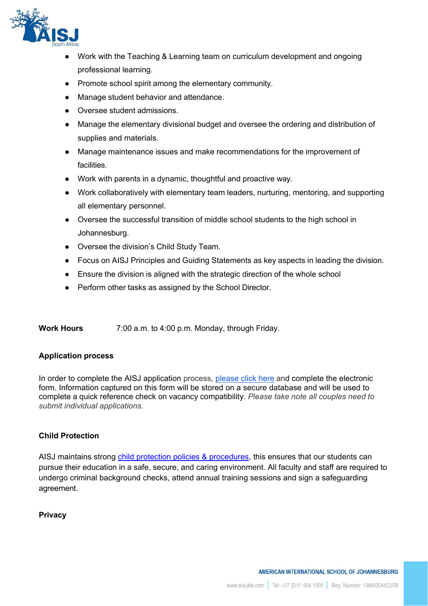

- Work with the Teaching & Learning team on curriculum development and ongoing professional learning.
- Promote school spirit among the elementary community.
- Manage student behavior and attendance.
- Oversee student admissions.
- Manage the elementary divisional budget and oversee the ordering and distribution of supplies and materials.
- Manage maintenance issues and make recommendations for the improvement of facilities.
- Work with parents in a dynamic, thoughtful and proactive way.
- Work collaboratively with elementary team leaders, nurturing, mentoring, and supporting all elementary personnel.
- Oversee the successful transition of middle school students to the high school in Johannesburg.
- Oversee the division's Child Study Team.
- Focus on AISJ Principles and Guiding Statements as key aspects in leading the division.
- Ensure the division is aligned with the strategic direction of the whole school
- Perform other tasks as assigned by the School Director.

**Work Hours** 7:00 a.m. to 4:00 p.m. Monday, through Friday.

#### **Application process**

In order to complete the AISJ application process, [please click here](https://www.aisj-jhb.com/working-aisj/es-application-form) and complete the electronic form. Information captured on this form will be stored on a secure database and will be used to complete a quick reference check on vacancy compatibility. *Please take note all couples need to submit individual applications.*

#### **Child Protection**

AISJ maintains strong [child protection policies & procedures,](https://www.aisj-jhb.com/student-life/child-protection) this ensures that our students can pursue their education in a safe, secure, and caring environment. All faculty and staff are required to undergo criminal background checks, attend annual training sessions and sign a safeguarding agreement.

#### **Privacy**

AMERICAN INTERNATIONAL SCHOOL OF JOHANNESBURG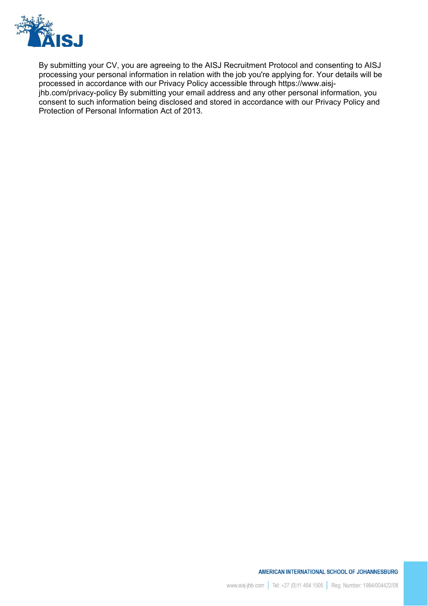

By submitting your CV, you are agreeing to the AISJ Recruitment Protocol and consenting to AISJ processing your personal information in relation with the job you're applying for. Your details will be processed in accordance with our Privacy Policy accessible through https://www.aisj-

jhb.com/privacy-policy By submitting your email address and any other personal information, you consent to such information being disclosed and stored in accordance with our Privacy Policy and Protection of Personal Information Act of 2013.